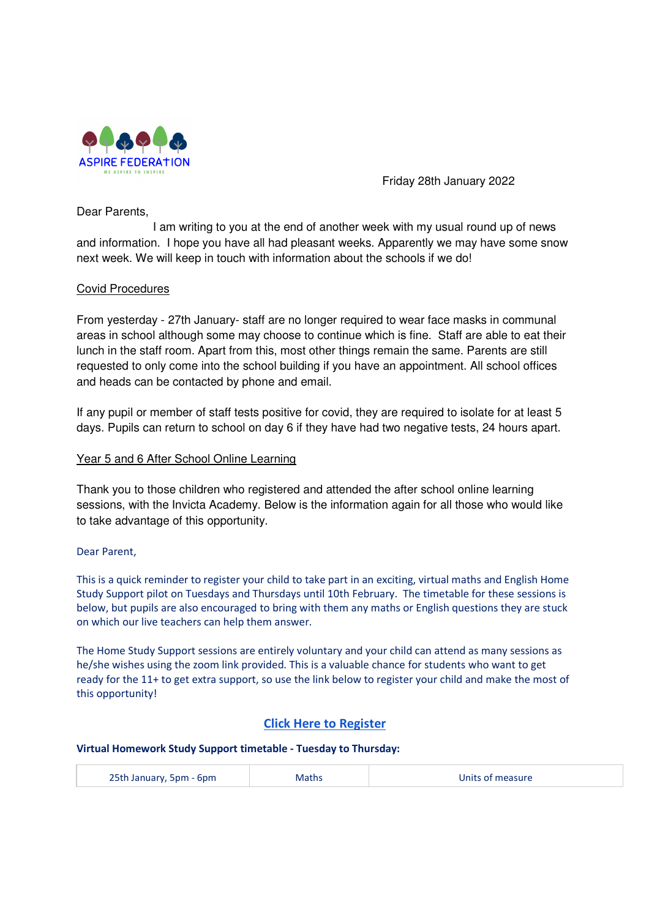

Friday 28th January 2022

Dear Parents,

 I am writing to you at the end of another week with my usual round up of news and information. I hope you have all had pleasant weeks. Apparently we may have some snow next week. We will keep in touch with information about the schools if we do!

# Covid Procedures

From yesterday - 27th January- staff are no longer required to wear face masks in communal areas in school although some may choose to continue which is fine. Staff are able to eat their lunch in the staff room. Apart from this, most other things remain the same. Parents are still requested to only come into the school building if you have an appointment. All school offices and heads can be contacted by phone and email.

If any pupil or member of staff tests positive for covid, they are required to isolate for at least 5 days. Pupils can return to school on day 6 if they have had two negative tests, 24 hours apart.

# Year 5 and 6 After School Online Learning

Thank you to those children who registered and attended the after school online learning sessions, with the Invicta Academy. Below is the information again for all those who would like to take advantage of this opportunity.

## Dear Parent,

This is a quick reminder to register your child to take part in an exciting, virtual maths and English Home Study Support pilot on Tuesdays and Thursdays until 10th February. The timetable for these sessions is below, but pupils are also encouraged to bring with them any maths or English questions they are stuck on which our live teachers can help them answer.

The Home Study Support sessions are entirely voluntary and your child can attend as many sessions as he/she wishes using the zoom link provided. This is a valuable chance for students who want to get ready for the 11+ to get extra support, so use the link below to register your child and make the most of this opportunity!

# Click Here to Register

### Virtual Homework Study Support timetable - Tuesday to Thursday:

| 25th January, 5pm - 6pm | Maths | Units of measure |
|-------------------------|-------|------------------|
|                         |       |                  |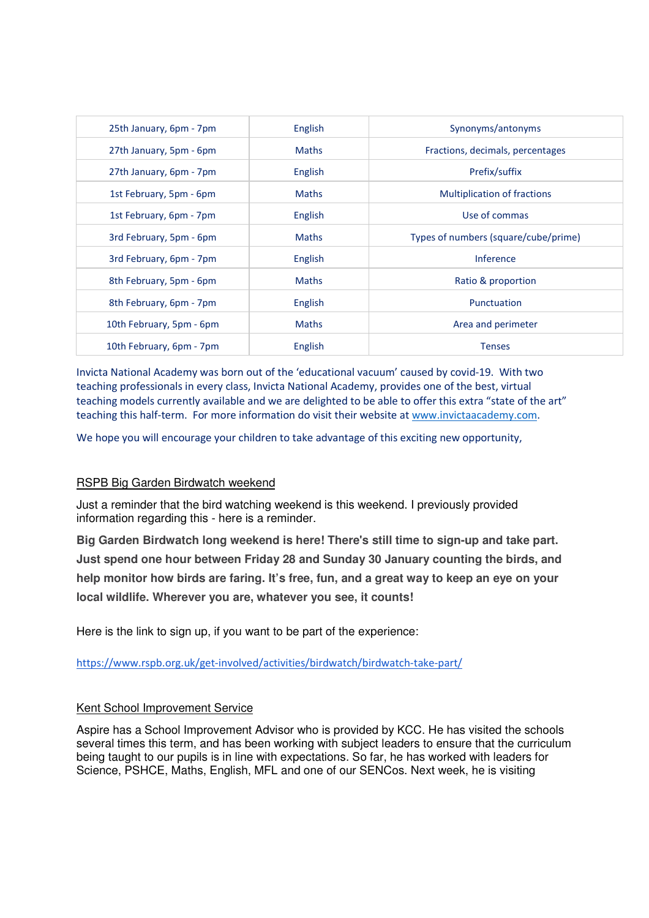| 25th January, 6pm - 7pm  | English      | Synonyms/antonyms                    |
|--------------------------|--------------|--------------------------------------|
| 27th January, 5pm - 6pm  | <b>Maths</b> | Fractions, decimals, percentages     |
| 27th January, 6pm - 7pm  | English      | Prefix/suffix                        |
| 1st February, 5pm - 6pm  | <b>Maths</b> | <b>Multiplication of fractions</b>   |
| 1st February, 6pm - 7pm  | English      | Use of commas                        |
| 3rd February, 5pm - 6pm  | <b>Maths</b> | Types of numbers (square/cube/prime) |
| 3rd February, 6pm - 7pm  | English      | <b>Inference</b>                     |
| 8th February, 5pm - 6pm  | <b>Maths</b> | Ratio & proportion                   |
| 8th February, 6pm - 7pm  | English      | Punctuation                          |
| 10th February, 5pm - 6pm | <b>Maths</b> | Area and perimeter                   |
| 10th February, 6pm - 7pm | English      | <b>Tenses</b>                        |

Invicta National Academy was born out of the 'educational vacuum' caused by covid-19. With two teaching professionals in every class, Invicta National Academy, provides one of the best, virtual teaching models currently available and we are delighted to be able to offer this extra "state of the art" teaching this half-term. For more information do visit their website at www.invictaacademy.com.

We hope you will encourage your children to take advantage of this exciting new opportunity,

## RSPB Big Garden Birdwatch weekend

Just a reminder that the bird watching weekend is this weekend. I previously provided information regarding this - here is a reminder.

**Big Garden Birdwatch long weekend is here! There's still time to sign-up and take part. Just spend one hour between Friday 28 and Sunday 30 January counting the birds, and help monitor how birds are faring. It's free, fun, and a great way to keep an eye on your local wildlife. Wherever you are, whatever you see, it counts!** 

Here is the link to sign up, if you want to be part of the experience:

https://www.rspb.org.uk/get-involved/activities/birdwatch/birdwatch-take-part/

### Kent School Improvement Service

Aspire has a School Improvement Advisor who is provided by KCC. He has visited the schools several times this term, and has been working with subject leaders to ensure that the curriculum being taught to our pupils is in line with expectations. So far, he has worked with leaders for Science, PSHCE, Maths, English, MFL and one of our SENCos. Next week, he is visiting